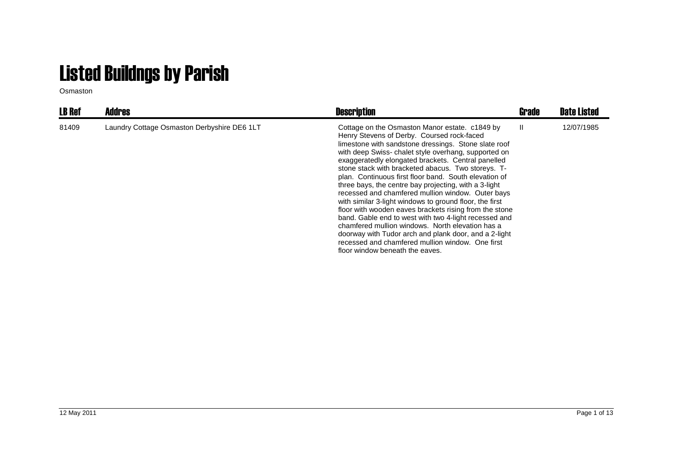## Listed Buildngs by Parish

Osmaston

| <b>LB Ref</b> | <b>Addres</b>                               | <b>Description</b>                                                                                                                                                                                                                                                                                                                                                                                                                                                                                                                                                                                                                                                                                                                                                                                                                                                                | Grade        | <b>Date Listed</b> |
|---------------|---------------------------------------------|-----------------------------------------------------------------------------------------------------------------------------------------------------------------------------------------------------------------------------------------------------------------------------------------------------------------------------------------------------------------------------------------------------------------------------------------------------------------------------------------------------------------------------------------------------------------------------------------------------------------------------------------------------------------------------------------------------------------------------------------------------------------------------------------------------------------------------------------------------------------------------------|--------------|--------------------|
| 81409         | Laundry Cottage Osmaston Derbyshire DE6 1LT | Cottage on the Osmaston Manor estate. c1849 by<br>Henry Stevens of Derby. Coursed rock-faced<br>limestone with sandstone dressings. Stone slate roof<br>with deep Swiss- chalet style overhang, supported on<br>exaggeratedly elongated brackets. Central panelled<br>stone stack with bracketed abacus. Two storeys. T-<br>plan. Continuous first floor band. South elevation of<br>three bays, the centre bay projecting, with a 3-light<br>recessed and chamfered mullion window. Outer bays<br>with similar 3-light windows to ground floor, the first<br>floor with wooden eaves brackets rising from the stone<br>band. Gable end to west with two 4-light recessed and<br>chamfered mullion windows. North elevation has a<br>doorway with Tudor arch and plank door, and a 2-light<br>recessed and chamfered mullion window. One first<br>floor window beneath the eaves. | $\mathbf{I}$ | 12/07/1985         |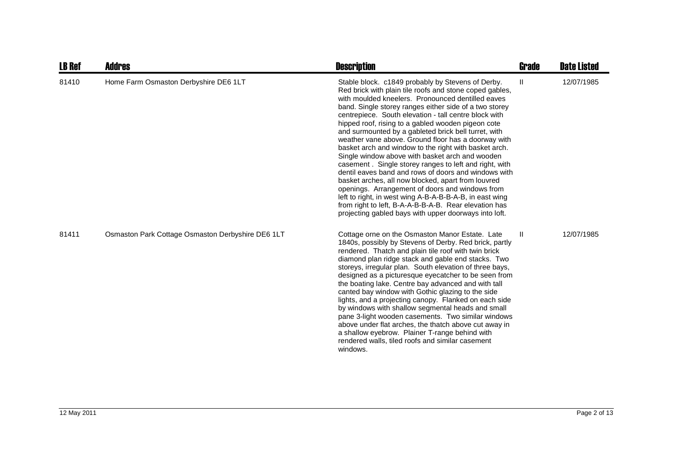| <b>LB Ref</b> | <b>Addres</b>                                     | <b>Description</b>                                                                                                                                                                                                                                                                                                                                                                                                                                                                                                                                                                                                                                                                                                                                                                                                                                                                                                                                                            | <b>Grade</b> | <b>Date Listed</b> |
|---------------|---------------------------------------------------|-------------------------------------------------------------------------------------------------------------------------------------------------------------------------------------------------------------------------------------------------------------------------------------------------------------------------------------------------------------------------------------------------------------------------------------------------------------------------------------------------------------------------------------------------------------------------------------------------------------------------------------------------------------------------------------------------------------------------------------------------------------------------------------------------------------------------------------------------------------------------------------------------------------------------------------------------------------------------------|--------------|--------------------|
| 81410         | Home Farm Osmaston Derbyshire DE6 1LT             | Stable block. c1849 probably by Stevens of Derby.<br>Red brick with plain tile roofs and stone coped gables,<br>with moulded kneelers. Pronounced dentilled eaves<br>band. Single storey ranges either side of a two storey<br>centrepiece. South elevation - tall centre block with<br>hipped roof, rising to a gabled wooden pigeon cote<br>and surmounted by a gableted brick bell turret, with<br>weather vane above. Ground floor has a doorway with<br>basket arch and window to the right with basket arch.<br>Single window above with basket arch and wooden<br>casement. Single storey ranges to left and right, with<br>dentil eaves band and rows of doors and windows with<br>basket arches, all now blocked, apart from louvred<br>openings. Arrangement of doors and windows from<br>left to right, in west wing A-B-A-B-B-A-B, in east wing<br>from right to left, B-A-A-B-B-A-B. Rear elevation has<br>projecting gabled bays with upper doorways into loft. | Ш            | 12/07/1985         |
| 81411         | Osmaston Park Cottage Osmaston Derbyshire DE6 1LT | Cottage orne on the Osmaston Manor Estate. Late<br>1840s, possibly by Stevens of Derby. Red brick, partly<br>rendered. Thatch and plain tile roof with twin brick<br>diamond plan ridge stack and gable end stacks. Two<br>storeys, irregular plan. South elevation of three bays,<br>designed as a picturesque eyecatcher to be seen from<br>the boating lake. Centre bay advanced and with tall<br>canted bay window with Gothic glazing to the side<br>lights, and a projecting canopy. Flanked on each side<br>by windows with shallow segmental heads and small<br>pane 3-light wooden casements. Two similar windows<br>above under flat arches, the thatch above cut away in<br>a shallow eyebrow. Plainer T-range behind with<br>rendered walls, tiled roofs and similar casement<br>windows.                                                                                                                                                                         | Ш            | 12/07/1985         |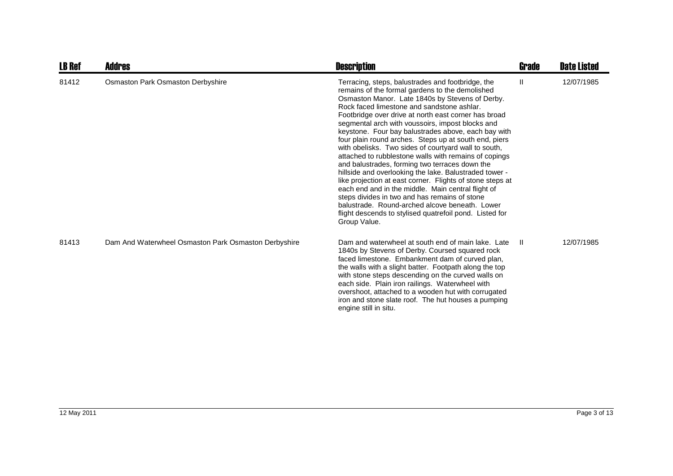| <b>LB Ref</b> | Addres                                               | <b>Description</b>                                                                                                                                                                                                                                                                                                                                                                                                                                                                                                                                                                                                                                                                                                                                                                                                                                                                                                                                              | <b>Grade</b> | <b>Date Listed</b> |
|---------------|------------------------------------------------------|-----------------------------------------------------------------------------------------------------------------------------------------------------------------------------------------------------------------------------------------------------------------------------------------------------------------------------------------------------------------------------------------------------------------------------------------------------------------------------------------------------------------------------------------------------------------------------------------------------------------------------------------------------------------------------------------------------------------------------------------------------------------------------------------------------------------------------------------------------------------------------------------------------------------------------------------------------------------|--------------|--------------------|
| 81412         | Osmaston Park Osmaston Derbyshire                    | Terracing, steps, balustrades and footbridge, the<br>remains of the formal gardens to the demolished<br>Osmaston Manor. Late 1840s by Stevens of Derby.<br>Rock faced limestone and sandstone ashlar.<br>Footbridge over drive at north east corner has broad<br>segmental arch with voussoirs, impost blocks and<br>keystone. Four bay balustrades above, each bay with<br>four plain round arches. Steps up at south end, piers<br>with obelisks. Two sides of courtyard wall to south,<br>attached to rubblestone walls with remains of copings<br>and balustrades, forming two terraces down the<br>hillside and overlooking the lake. Balustraded tower -<br>like projection at east corner. Flights of stone steps at<br>each end and in the middle. Main central flight of<br>steps divides in two and has remains of stone<br>balustrade. Round-arched alcove beneath. Lower<br>flight descends to stylised quatrefoil pond. Listed for<br>Group Value. | Ш            | 12/07/1985         |
| 81413         | Dam And Waterwheel Osmaston Park Osmaston Derbyshire | Dam and waterwheel at south end of main lake. Late<br>1840s by Stevens of Derby. Coursed squared rock<br>faced limestone. Embankment dam of curved plan,<br>the walls with a slight batter. Footpath along the top<br>with stone steps descending on the curved walls on<br>each side. Plain iron railings. Waterwheel with<br>overshoot, attached to a wooden hut with corrugated<br>iron and stone slate roof. The hut houses a pumping<br>engine still in situ.                                                                                                                                                                                                                                                                                                                                                                                                                                                                                              | -H           | 12/07/1985         |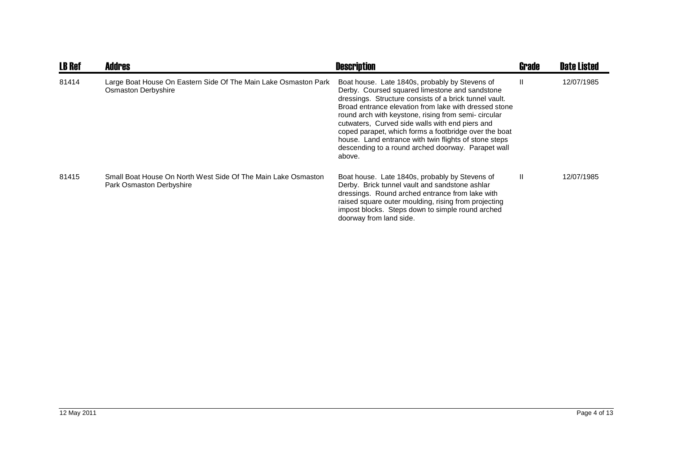| <b>LB Ref</b> | <b>Addres</b>                                                                             | <b>Description</b>                                                                                                                                                                                                                                                                                                                                                                                                                                                                                              | <b>Grade</b> | <b>Date Listed</b> |
|---------------|-------------------------------------------------------------------------------------------|-----------------------------------------------------------------------------------------------------------------------------------------------------------------------------------------------------------------------------------------------------------------------------------------------------------------------------------------------------------------------------------------------------------------------------------------------------------------------------------------------------------------|--------------|--------------------|
| 81414         | Large Boat House On Eastern Side Of The Main Lake Osmaston Park<br>Osmaston Derbyshire    | Boat house. Late 1840s, probably by Stevens of<br>Derby. Coursed squared limestone and sandstone<br>dressings. Structure consists of a brick tunnel vault.<br>Broad entrance elevation from lake with dressed stone<br>round arch with keystone, rising from semi-circular<br>cutwaters, Curved side walls with end piers and<br>coped parapet, which forms a footbridge over the boat<br>house. Land entrance with twin flights of stone steps<br>descending to a round arched doorway. Parapet wall<br>above. | Ш            | 12/07/1985         |
| 81415         | Small Boat House On North West Side Of The Main Lake Osmaston<br>Park Osmaston Derbyshire | Boat house. Late 1840s, probably by Stevens of<br>Derby. Brick tunnel vault and sandstone ashlar<br>dressings. Round arched entrance from lake with<br>raised square outer moulding, rising from projecting<br>impost blocks. Steps down to simple round arched<br>doorway from land side.                                                                                                                                                                                                                      | $\mathbf{H}$ | 12/07/1985         |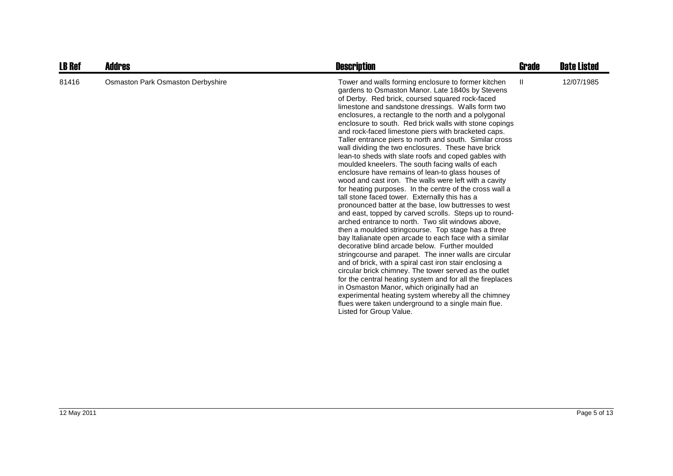| <b>LB Ref</b> | <b>Addres</b>                     | <b>Description</b>                                                                                                                                                                                                                                                                                                                                                                                                                                                                                                                                                                                                                                                                                                                                                                                                                                                                                                                                                                                                                                                                                                                                                                                                                                                                                                                                                                                                                                                                                                                                                                                                           | Grade        | <b>Date Listed</b> |
|---------------|-----------------------------------|------------------------------------------------------------------------------------------------------------------------------------------------------------------------------------------------------------------------------------------------------------------------------------------------------------------------------------------------------------------------------------------------------------------------------------------------------------------------------------------------------------------------------------------------------------------------------------------------------------------------------------------------------------------------------------------------------------------------------------------------------------------------------------------------------------------------------------------------------------------------------------------------------------------------------------------------------------------------------------------------------------------------------------------------------------------------------------------------------------------------------------------------------------------------------------------------------------------------------------------------------------------------------------------------------------------------------------------------------------------------------------------------------------------------------------------------------------------------------------------------------------------------------------------------------------------------------------------------------------------------------|--------------|--------------------|
| 81416         | Osmaston Park Osmaston Derbyshire | Tower and walls forming enclosure to former kitchen<br>gardens to Osmaston Manor. Late 1840s by Stevens<br>of Derby. Red brick, coursed squared rock-faced<br>limestone and sandstone dressings. Walls form two<br>enclosures, a rectangle to the north and a polygonal<br>enclosure to south. Red brick walls with stone copings<br>and rock-faced limestone piers with bracketed caps.<br>Taller entrance piers to north and south. Similar cross<br>wall dividing the two enclosures. These have brick<br>lean-to sheds with slate roofs and coped gables with<br>moulded kneelers. The south facing walls of each<br>enclosure have remains of lean-to glass houses of<br>wood and cast iron. The walls were left with a cavity<br>for heating purposes. In the centre of the cross wall a<br>tall stone faced tower. Externally this has a<br>pronounced batter at the base, low buttresses to west<br>and east, topped by carved scrolls. Steps up to round-<br>arched entrance to north. Two slit windows above,<br>then a moulded stringcourse. Top stage has a three<br>bay Italianate open arcade to each face with a similar<br>decorative blind arcade below. Further moulded<br>stringcourse and parapet. The inner walls are circular<br>and of brick, with a spiral cast iron stair enclosing a<br>circular brick chimney. The tower served as the outlet<br>for the central heating system and for all the fireplaces<br>in Osmaston Manor, which originally had an<br>experimental heating system whereby all the chimney<br>flues were taken underground to a single main flue.<br>Listed for Group Value. | $\mathbf{H}$ | 12/07/1985         |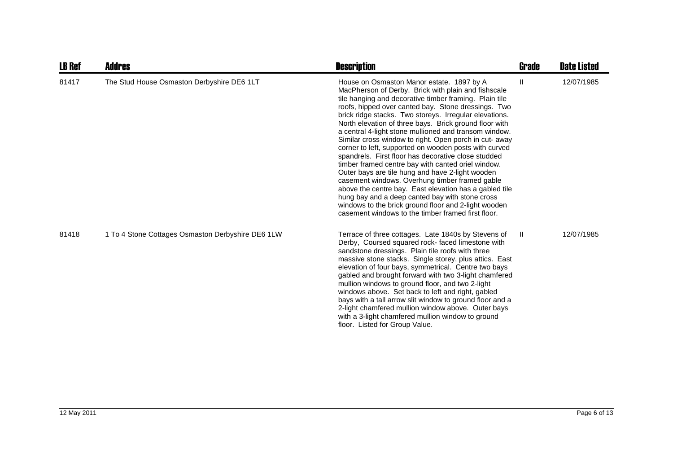| <b>LB Ref</b> | <b>Addres</b>                                     | <b>Description</b>                                                                                                                                                                                                                                                                                                                                                                                                                                                                                                                                                                                                                                                                                                                                                                                                                                                                                                                                              | Grade        | <b>Date Listed</b> |
|---------------|---------------------------------------------------|-----------------------------------------------------------------------------------------------------------------------------------------------------------------------------------------------------------------------------------------------------------------------------------------------------------------------------------------------------------------------------------------------------------------------------------------------------------------------------------------------------------------------------------------------------------------------------------------------------------------------------------------------------------------------------------------------------------------------------------------------------------------------------------------------------------------------------------------------------------------------------------------------------------------------------------------------------------------|--------------|--------------------|
| 81417         | The Stud House Osmaston Derbyshire DE6 1LT        | House on Osmaston Manor estate. 1897 by A<br>MacPherson of Derby. Brick with plain and fishscale<br>tile hanging and decorative timber framing. Plain tile<br>roofs, hipped over canted bay. Stone dressings. Two<br>brick ridge stacks. Two storeys. Irregular elevations.<br>North elevation of three bays. Brick ground floor with<br>a central 4-light stone mullioned and transom window.<br>Similar cross window to right. Open porch in cut- away<br>corner to left, supported on wooden posts with curved<br>spandrels. First floor has decorative close studded<br>timber framed centre bay with canted oriel window.<br>Outer bays are tile hung and have 2-light wooden<br>casement windows. Overhung timber framed gable<br>above the centre bay. East elevation has a gabled tile<br>hung bay and a deep canted bay with stone cross<br>windows to the brick ground floor and 2-light wooden<br>casement windows to the timber framed first floor. | Ш            | 12/07/1985         |
| 81418         | 1 To 4 Stone Cottages Osmaston Derbyshire DE6 1LW | Terrace of three cottages. Late 1840s by Stevens of<br>Derby, Coursed squared rock-faced limestone with<br>sandstone dressings. Plain tile roofs with three<br>massive stone stacks. Single storey, plus attics. East<br>elevation of four bays, symmetrical. Centre two bays<br>gabled and brought forward with two 3-light chamfered<br>mullion windows to ground floor, and two 2-light<br>windows above. Set back to left and right, gabled<br>bays with a tall arrow slit window to ground floor and a<br>2-light chamfered mullion window above. Outer bays<br>with a 3-light chamfered mullion window to ground<br>floor. Listed for Group Value.                                                                                                                                                                                                                                                                                                        | $\mathbf{I}$ | 12/07/1985         |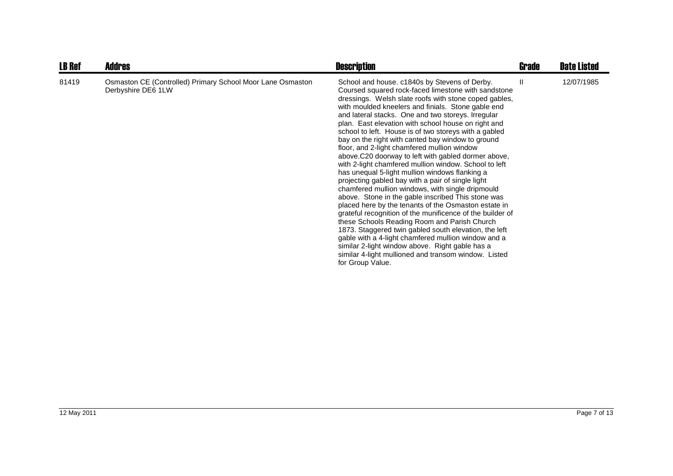| <b>LB Ref</b> | <b>Addres</b>                                                                    | <b>Description</b>                                                                                                                                                                                                                                                                                                                                                                                                                                                                                                                                                                                                                                                                                                                                                                                                                                                                                                                                                                                                                                                                                                                                                                                                                                 | Grade | <b>Date Listed</b> |
|---------------|----------------------------------------------------------------------------------|----------------------------------------------------------------------------------------------------------------------------------------------------------------------------------------------------------------------------------------------------------------------------------------------------------------------------------------------------------------------------------------------------------------------------------------------------------------------------------------------------------------------------------------------------------------------------------------------------------------------------------------------------------------------------------------------------------------------------------------------------------------------------------------------------------------------------------------------------------------------------------------------------------------------------------------------------------------------------------------------------------------------------------------------------------------------------------------------------------------------------------------------------------------------------------------------------------------------------------------------------|-------|--------------------|
| 81419         | Osmaston CE (Controlled) Primary School Moor Lane Osmaston<br>Derbyshire DE6 1LW | School and house. c1840s by Stevens of Derby.<br>Coursed squared rock-faced limestone with sandstone<br>dressings. Welsh slate roofs with stone coped gables,<br>with moulded kneelers and finials. Stone gable end<br>and lateral stacks. One and two storeys. Irregular<br>plan. East elevation with school house on right and<br>school to left. House is of two storeys with a gabled<br>bay on the right with canted bay window to ground<br>floor, and 2-light chamfered mullion window<br>above.C20 doorway to left with gabled dormer above,<br>with 2-light chamfered mullion window. School to left<br>has unequal 5-light mullion windows flanking a<br>projecting gabled bay with a pair of single light<br>chamfered mullion windows, with single dripmould<br>above. Stone in the gable inscribed This stone was<br>placed here by the tenants of the Osmaston estate in<br>grateful recognition of the munificence of the builder of<br>these Schools Reading Room and Parish Church<br>1873. Staggered twin gabled south elevation, the left<br>gable with a 4-light chamfered mullion window and a<br>similar 2-light window above. Right gable has a<br>similar 4-light mullioned and transom window. Listed<br>for Group Value. | Ш     | 12/07/1985         |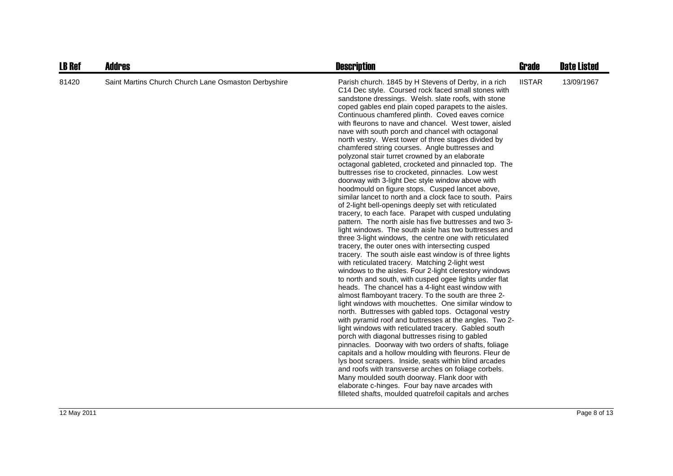| <b>LB Ref</b> | <b>Addres</b>                                        | <b>Description</b>                                                                                                                                                                                                                                                                                                                                                                                                                                                                                                                                                                                                                                                                                                                                                                                                                                                                                                                                                                                                                                                                                                                                                                                                                                                                                                                                                                                                                                                                                                                                                                                                                                                                                                                                                                                                                                                                                                                                                                                                                                                                                                                                                                                                            | <b>Grade</b>  | <b>Date Listed</b> |
|---------------|------------------------------------------------------|-------------------------------------------------------------------------------------------------------------------------------------------------------------------------------------------------------------------------------------------------------------------------------------------------------------------------------------------------------------------------------------------------------------------------------------------------------------------------------------------------------------------------------------------------------------------------------------------------------------------------------------------------------------------------------------------------------------------------------------------------------------------------------------------------------------------------------------------------------------------------------------------------------------------------------------------------------------------------------------------------------------------------------------------------------------------------------------------------------------------------------------------------------------------------------------------------------------------------------------------------------------------------------------------------------------------------------------------------------------------------------------------------------------------------------------------------------------------------------------------------------------------------------------------------------------------------------------------------------------------------------------------------------------------------------------------------------------------------------------------------------------------------------------------------------------------------------------------------------------------------------------------------------------------------------------------------------------------------------------------------------------------------------------------------------------------------------------------------------------------------------------------------------------------------------------------------------------------------------|---------------|--------------------|
| 81420         | Saint Martins Church Church Lane Osmaston Derbyshire | Parish church. 1845 by H Stevens of Derby, in a rich<br>C14 Dec style. Coursed rock faced small stones with<br>sandstone dressings. Welsh. slate roofs, with stone<br>coped gables end plain coped parapets to the aisles.<br>Continuous chamfered plinth. Coved eaves cornice<br>with fleurons to nave and chancel. West tower, aisled<br>nave with south porch and chancel with octagonal<br>north vestry. West tower of three stages divided by<br>chamfered string courses. Angle buttresses and<br>polyzonal stair turret crowned by an elaborate<br>octagonal gableted, crocketed and pinnacled top. The<br>buttresses rise to crocketed, pinnacles. Low west<br>doorway with 3-light Dec style window above with<br>hoodmould on figure stops. Cusped lancet above,<br>similar lancet to north and a clock face to south. Pairs<br>of 2-light bell-openings deeply set with reticulated<br>tracery, to each face. Parapet with cusped undulating<br>pattern. The north aisle has five buttresses and two 3-<br>light windows. The south aisle has two buttresses and<br>three 3-light windows, the centre one with reticulated<br>tracery, the outer ones with intersecting cusped<br>tracery. The south aisle east window is of three lights<br>with reticulated tracery. Matching 2-light west<br>windows to the aisles. Four 2-light clerestory windows<br>to north and south, with cusped ogee lights under flat<br>heads. The chancel has a 4-light east window with<br>almost flamboyant tracery. To the south are three 2-<br>light windows with mouchettes. One similar window to<br>north. Buttresses with gabled tops. Octagonal vestry<br>with pyramid roof and buttresses at the angles. Two 2-<br>light windows with reticulated tracery. Gabled south<br>porch with diagonal buttresses rising to gabled<br>pinnacles. Doorway with two orders of shafts, foliage<br>capitals and a hollow moulding with fleurons. Fleur de<br>lys boot scrapers. Inside, seats within blind arcades<br>and roofs with transverse arches on foliage corbels.<br>Many moulded south doorway. Flank door with<br>elaborate c-hinges. Four bay nave arcades with<br>filleted shafts, moulded quatrefoil capitals and arches | <b>IISTAR</b> | 13/09/1967         |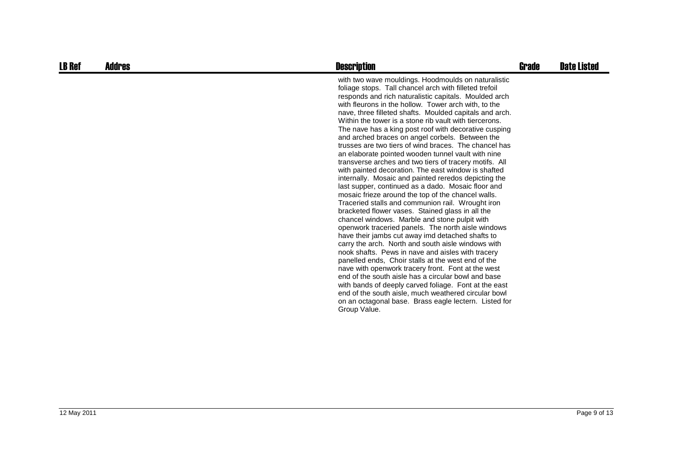| <b>LB Ref</b> | <b>Addres</b> | <b>Description</b>                                                                                                                                                                                                                                                                                                                                                                                                                                                                                                                                                                                                                                                                                                                                                                                                                                                                                                                                                                                                                                                                                                                                                                                                                                                                                                                                                                                                                                                                                                                                                                                              | Grade | <b>Date Listed</b> |
|---------------|---------------|-----------------------------------------------------------------------------------------------------------------------------------------------------------------------------------------------------------------------------------------------------------------------------------------------------------------------------------------------------------------------------------------------------------------------------------------------------------------------------------------------------------------------------------------------------------------------------------------------------------------------------------------------------------------------------------------------------------------------------------------------------------------------------------------------------------------------------------------------------------------------------------------------------------------------------------------------------------------------------------------------------------------------------------------------------------------------------------------------------------------------------------------------------------------------------------------------------------------------------------------------------------------------------------------------------------------------------------------------------------------------------------------------------------------------------------------------------------------------------------------------------------------------------------------------------------------------------------------------------------------|-------|--------------------|
|               |               | with two wave mouldings. Hoodmoulds on naturalistic<br>foliage stops. Tall chancel arch with filleted trefoil<br>responds and rich naturalistic capitals. Moulded arch<br>with fleurons in the hollow. Tower arch with, to the<br>nave, three filleted shafts. Moulded capitals and arch.<br>Within the tower is a stone rib vault with tiercerons.<br>The nave has a king post roof with decorative cusping<br>and arched braces on angel corbels. Between the<br>trusses are two tiers of wind braces. The chancel has<br>an elaborate pointed wooden tunnel vault with nine<br>transverse arches and two tiers of tracery motifs. All<br>with painted decoration. The east window is shafted<br>internally. Mosaic and painted reredos depicting the<br>last supper, continued as a dado. Mosaic floor and<br>mosaic frieze around the top of the chancel walls.<br>Traceried stalls and communion rail. Wrought iron<br>bracketed flower vases. Stained glass in all the<br>chancel windows. Marble and stone pulpit with<br>openwork traceried panels. The north aisle windows<br>have their jambs cut away imd detached shafts to<br>carry the arch. North and south aisle windows with<br>nook shafts. Pews in nave and aisles with tracery<br>panelled ends. Choir stalls at the west end of the<br>nave with openwork tracery front. Font at the west<br>end of the south aisle has a circular bowl and base<br>with bands of deeply carved foliage. Font at the east<br>end of the south aisle, much weathered circular bowl<br>on an octagonal base. Brass eagle lectern. Listed for<br>Group Value. |       |                    |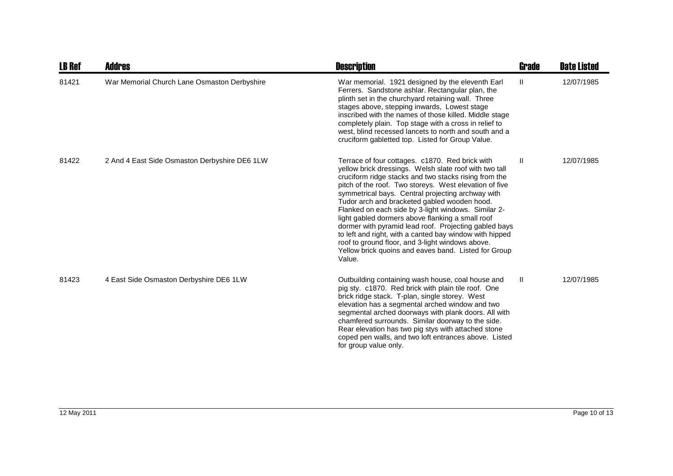| <b>LB Ref</b> | Addres                                        | <b>Description</b>                                                                                                                                                                                                                                                                                                                                                                                                                                                                                                                                                                                                                                                                     | <b>Grade</b>  | <b>Date Listed</b> |
|---------------|-----------------------------------------------|----------------------------------------------------------------------------------------------------------------------------------------------------------------------------------------------------------------------------------------------------------------------------------------------------------------------------------------------------------------------------------------------------------------------------------------------------------------------------------------------------------------------------------------------------------------------------------------------------------------------------------------------------------------------------------------|---------------|--------------------|
| 81421         | War Memorial Church Lane Osmaston Derbyshire  | War memorial. 1921 designed by the eleventh Earl<br>Ferrers. Sandstone ashlar. Rectangular plan, the<br>plinth set in the churchyard retaining wall. Three<br>stages above, stepping inwards, Lowest stage<br>inscribed with the names of those killed. Middle stage<br>completely plain. Top stage with a cross in relief to<br>west, blind recessed lancets to north and south and a<br>cruciform gabletted top. Listed for Group Value.                                                                                                                                                                                                                                             | $\mathbf{H}$  | 12/07/1985         |
| 81422         | 2 And 4 East Side Osmaston Derbyshire DE6 1LW | Terrace of four cottages. c1870. Red brick with<br>yellow brick dressings. Welsh slate roof with two tall<br>cruciform ridge stacks and two stacks rising from the<br>pitch of the roof. Two storeys. West elevation of five<br>symmetrical bays. Central projecting archway with<br>Tudor arch and bracketed gabled wooden hood.<br>Flanked on each side by 3-light windows. Similar 2-<br>light gabled dormers above flanking a small roof<br>dormer with pyramid lead roof. Projecting gabled bays<br>to left and right, with a canted bay window with hipped<br>roof to ground floor, and 3-light windows above.<br>Yellow brick quoins and eaves band. Listed for Group<br>Value. | $\mathbf{II}$ | 12/07/1985         |
| 81423         | 4 East Side Osmaston Derbyshire DE6 1LW       | Outbuilding containing wash house, coal house and<br>pig sty. c1870. Red brick with plain tile roof. One<br>brick ridge stack. T-plan, single storey. West<br>elevation has a segmental arched window and two<br>segmental arched doorways with plank doors. All with<br>chamfered surrounds. Similar doorway to the side.<br>Rear elevation has two pig stys with attached stone<br>coped pen walls, and two loft entrances above. Listed<br>for group value only.                                                                                                                                                                                                                    | $\mathbf{H}$  | 12/07/1985         |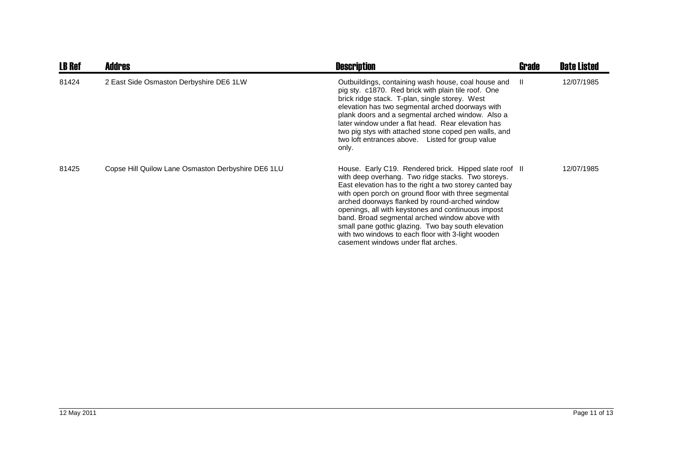| <b>LB Ref</b> | <b>Addres</b>                                      | <b>Description</b>                                                                                                                                                                                                                                                                                                                                                                                                                                                                                                                           | <b>Grade</b> | <b>Date Listed</b> |
|---------------|----------------------------------------------------|----------------------------------------------------------------------------------------------------------------------------------------------------------------------------------------------------------------------------------------------------------------------------------------------------------------------------------------------------------------------------------------------------------------------------------------------------------------------------------------------------------------------------------------------|--------------|--------------------|
| 81424         | 2 East Side Osmaston Derbyshire DE6 1LW            | Outbuildings, containing wash house, coal house and<br>pig sty. c1870. Red brick with plain tile roof. One<br>brick ridge stack. T-plan, single storey. West<br>elevation has two segmental arched doorways with<br>plank doors and a segmental arched window. Also a<br>later window under a flat head. Rear elevation has<br>two pig stys with attached stone coped pen walls, and<br>two loft entrances above. Listed for group value<br>only.                                                                                            | -II.         | 12/07/1985         |
| 81425         | Copse Hill Quilow Lane Osmaston Derbyshire DE6 1LU | House. Early C19. Rendered brick. Hipped slate roof II<br>with deep overhang. Two ridge stacks. Two storeys.<br>East elevation has to the right a two storey canted bay<br>with open porch on ground floor with three segmental<br>arched doorways flanked by round-arched window<br>openings, all with keystones and continuous impost<br>band. Broad segmental arched window above with<br>small pane gothic glazing. Two bay south elevation<br>with two windows to each floor with 3-light wooden<br>casement windows under flat arches. |              | 12/07/1985         |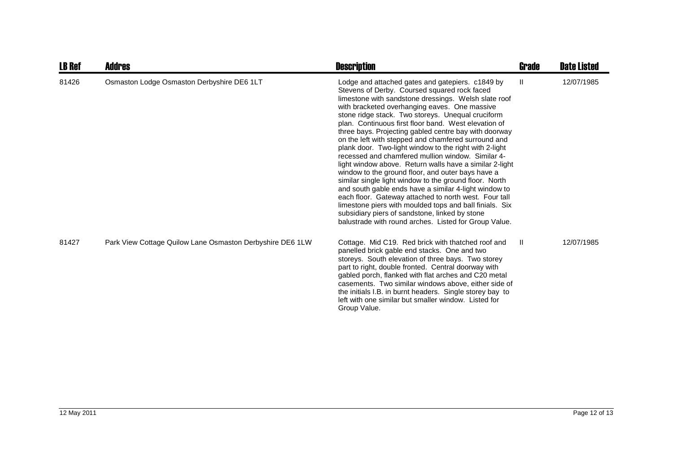| <b>LB Ref</b> | Addres                                                    | <b>Description</b>                                                                                                                                                                                                                                                                                                                                                                                                                                                                                                                                                                                                                                                                                                                                                                                                                                                                                                                                                                                                      | <b>Grade</b> | <b>Date Listed</b> |
|---------------|-----------------------------------------------------------|-------------------------------------------------------------------------------------------------------------------------------------------------------------------------------------------------------------------------------------------------------------------------------------------------------------------------------------------------------------------------------------------------------------------------------------------------------------------------------------------------------------------------------------------------------------------------------------------------------------------------------------------------------------------------------------------------------------------------------------------------------------------------------------------------------------------------------------------------------------------------------------------------------------------------------------------------------------------------------------------------------------------------|--------------|--------------------|
| 81426         | Osmaston Lodge Osmaston Derbyshire DE6 1LT                | Lodge and attached gates and gatepiers. c1849 by<br>Stevens of Derby. Coursed squared rock faced<br>limestone with sandstone dressings. Welsh slate roof<br>with bracketed overhanging eaves. One massive<br>stone ridge stack. Two storeys. Unequal cruciform<br>plan. Continuous first floor band. West elevation of<br>three bays. Projecting gabled centre bay with doorway<br>on the left with stepped and chamfered surround and<br>plank door. Two-light window to the right with 2-light<br>recessed and chamfered mullion window. Similar 4-<br>light window above. Return walls have a similar 2-light<br>window to the ground floor, and outer bays have a<br>similar single light window to the ground floor. North<br>and south gable ends have a similar 4-light window to<br>each floor. Gateway attached to north west. Four tall<br>limestone piers with moulded tops and ball finials. Six<br>subsidiary piers of sandstone, linked by stone<br>balustrade with round arches. Listed for Group Value. | Ш            | 12/07/1985         |
| 81427         | Park View Cottage Quilow Lane Osmaston Derbyshire DE6 1LW | Cottage. Mid C19. Red brick with thatched roof and<br>panelled brick gable end stacks. One and two<br>storeys. South elevation of three bays. Two storey<br>part to right, double fronted. Central doorway with<br>gabled porch, flanked with flat arches and C20 metal<br>casements. Two similar windows above, either side of<br>the initials I.B. in burnt headers. Single storey bay to<br>left with one similar but smaller window. Listed for<br>Group Value.                                                                                                                                                                                                                                                                                                                                                                                                                                                                                                                                                     | -II          | 12/07/1985         |